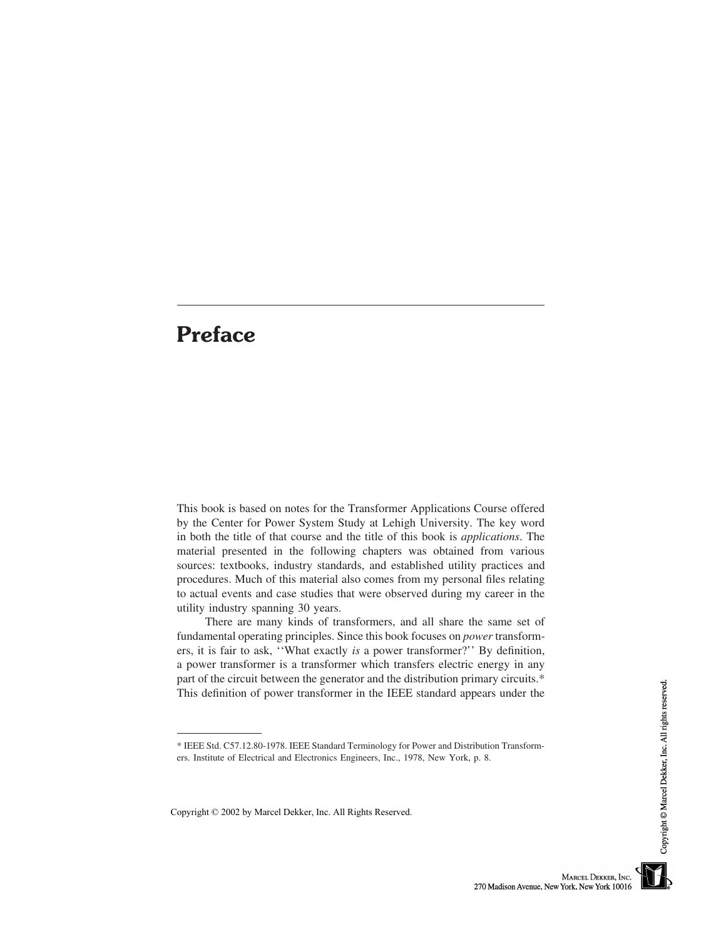## **Preface**

This book is based on notes for the Transformer Applications Course offered by the Center for Power System Study at Lehigh University. The key word in both the title of that course and the title of this book is *applications*. The material presented in the following chapters was obtained from various sources: textbooks, industry standards, and established utility practices and procedures. Much of this material also comes from my personal files relating to actual events and case studies that were observed during my career in the utility industry spanning 30 years.

There are many kinds of transformers, and all share the same set of fundamental operating principles. Since this book focuses on *power* transformers, it is fair to ask, ''What exactly *is* a power transformer?'' By definition, a power transformer is a transformer which transfers electric energy in any part of the circuit between the generator and the distribution primary circuits.\* This definition of power transformer in the IEEE standard appears under the

<sup>\*</sup> IEEE Std. C57.12.80-1978. IEEE Standard Terminology for Power and Distribution Transformers. Institute of Electrical and Electronics Engineers, Inc., 1978, New York, p. 8.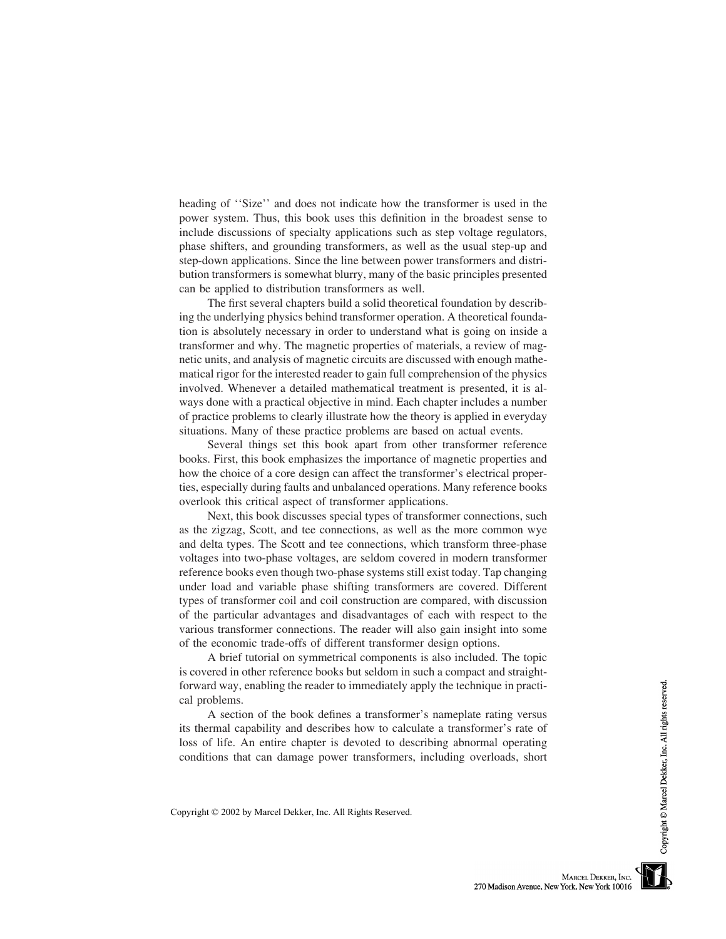heading of ''Size'' and does not indicate how the transformer is used in the power system. Thus, this book uses this definition in the broadest sense to include discussions of specialty applications such as step voltage regulators, phase shifters, and grounding transformers, as well as the usual step-up and step-down applications. Since the line between power transformers and distribution transformers is somewhat blurry, many of the basic principles presented can be applied to distribution transformers as well.

The first several chapters build a solid theoretical foundation by describing the underlying physics behind transformer operation. A theoretical foundation is absolutely necessary in order to understand what is going on inside a transformer and why. The magnetic properties of materials, a review of magnetic units, and analysis of magnetic circuits are discussed with enough mathematical rigor for the interested reader to gain full comprehension of the physics involved. Whenever a detailed mathematical treatment is presented, it is always done with a practical objective in mind. Each chapter includes a number of practice problems to clearly illustrate how the theory is applied in everyday situations. Many of these practice problems are based on actual events.

Several things set this book apart from other transformer reference books. First, this book emphasizes the importance of magnetic properties and how the choice of a core design can affect the transformer's electrical properties, especially during faults and unbalanced operations. Many reference books overlook this critical aspect of transformer applications.

Next, this book discusses special types of transformer connections, such as the zigzag, Scott, and tee connections, as well as the more common wye and delta types. The Scott and tee connections, which transform three-phase voltages into two-phase voltages, are seldom covered in modern transformer reference books even though two-phase systems still exist today. Tap changing under load and variable phase shifting transformers are covered. Different types of transformer coil and coil construction are compared, with discussion of the particular advantages and disadvantages of each with respect to the various transformer connections. The reader will also gain insight into some of the economic trade-offs of different transformer design options.

A brief tutorial on symmetrical components is also included. The topic is covered in other reference books but seldom in such a compact and straightforward way, enabling the reader to immediately apply the technique in practical problems.

A section of the book defines a transformer's nameplate rating versus its thermal capability and describes how to calculate a transformer's rate of loss of life. An entire chapter is devoted to describing abnormal operating conditions that can damage power transformers, including overloads, short